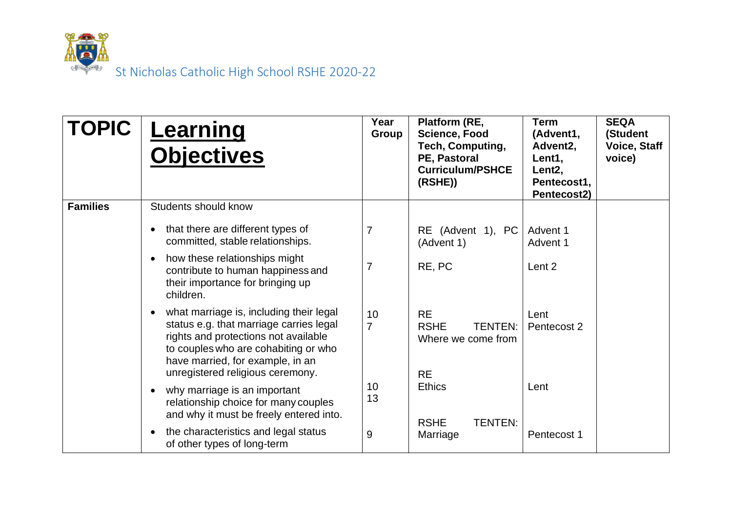

| <b>TOPIC</b>    | Learning<br><b>Objectives</b>                                                                                                                                                                                                              | Year<br>Group        | Platform (RE,<br><b>Science, Food</b><br>Tech, Computing,<br>PE, Pastoral<br><b>Curriculum/PSHCE</b><br>(RSHE)) | <b>Term</b><br>(Advent1,<br>Advent <sub>2</sub> ,<br>Lent1,<br>Lent <sub>2</sub> ,<br>Pentecost1,<br>Pentecost2) | <b>SEQA</b><br>(Student<br><b>Voice, Staff</b><br>voice) |
|-----------------|--------------------------------------------------------------------------------------------------------------------------------------------------------------------------------------------------------------------------------------------|----------------------|-----------------------------------------------------------------------------------------------------------------|------------------------------------------------------------------------------------------------------------------|----------------------------------------------------------|
| <b>Families</b> | Students should know                                                                                                                                                                                                                       |                      |                                                                                                                 |                                                                                                                  |                                                          |
|                 | that there are different types of<br>committed, stable relationships.                                                                                                                                                                      | $\overline{7}$       | RE (Advent 1), PC<br>(Advent 1)                                                                                 | Advent 1<br>Advent 1                                                                                             |                                                          |
|                 | how these relationships might<br>contribute to human happiness and<br>their importance for bringing up<br>children.                                                                                                                        | $\overline{7}$       | RE, PC                                                                                                          | Lent 2                                                                                                           |                                                          |
|                 | what marriage is, including their legal<br>status e.g. that marriage carries legal<br>rights and protections not available<br>to couples who are cohabiting or who<br>have married, for example, in an<br>unregistered religious ceremony. | 10<br>$\overline{7}$ | <b>RE</b><br><b>RSHE</b><br><b>TENTEN:</b><br>Where we come from<br><b>RE</b>                                   | Lent<br>Pentecost 2                                                                                              |                                                          |
|                 | why marriage is an important<br>relationship choice for many couples<br>and why it must be freely entered into.                                                                                                                            | 10<br>13             | <b>Ethics</b><br><b>TENTEN:</b><br><b>RSHE</b>                                                                  | Lent                                                                                                             |                                                          |
|                 | the characteristics and legal status<br>of other types of long-term                                                                                                                                                                        | 9                    | Marriage                                                                                                        | Pentecost 1                                                                                                      |                                                          |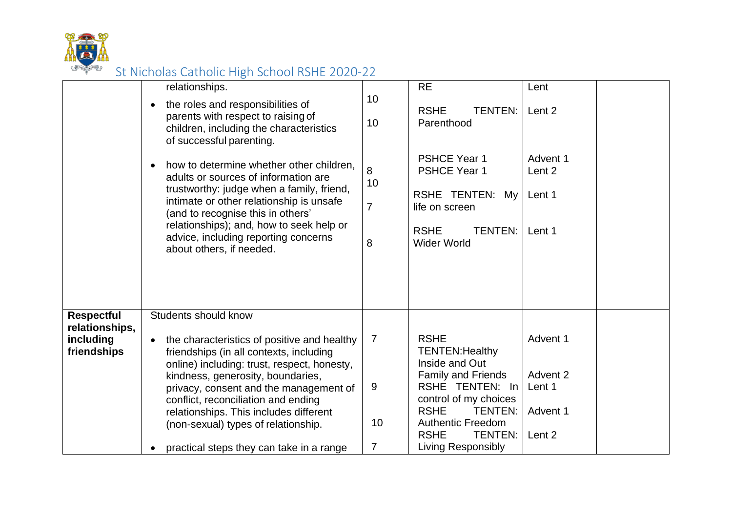

|                                                                 | relationships.<br>the roles and responsibilities of<br>$\bullet$<br>parents with respect to raising of<br>children, including the characteristics<br>of successful parenting.<br>how to determine whether other children,<br>$\bullet$<br>adults or sources of information are<br>trustworthy: judge when a family, friend,<br>intimate or other relationship is unsafe<br>(and to recognise this in others'<br>relationships); and, how to seek help or<br>advice, including reporting concerns<br>about others, if needed. | 10<br>10<br>8<br>10<br>$\overline{7}$<br>8 | <b>RE</b><br><b>RSHE</b><br><b>TENTEN:</b><br>Parenthood<br><b>PSHCE Year 1</b><br><b>PSHCE Year 1</b><br>RSHE TENTEN: My<br>life on screen<br><b>RSHE</b><br><b>TENTEN:</b><br><b>Wider World</b>                                                          | Lent<br>Lent 2<br>Advent 1<br>Lent 2<br>Lent 1<br>Lent 1        |  |
|-----------------------------------------------------------------|------------------------------------------------------------------------------------------------------------------------------------------------------------------------------------------------------------------------------------------------------------------------------------------------------------------------------------------------------------------------------------------------------------------------------------------------------------------------------------------------------------------------------|--------------------------------------------|-------------------------------------------------------------------------------------------------------------------------------------------------------------------------------------------------------------------------------------------------------------|-----------------------------------------------------------------|--|
| <b>Respectful</b><br>relationships,<br>including<br>friendships | Students should know<br>the characteristics of positive and healthy<br>friendships (in all contexts, including<br>online) including: trust, respect, honesty,<br>kindness, generosity, boundaries,<br>privacy, consent and the management of<br>conflict, reconciliation and ending<br>relationships. This includes different<br>(non-sexual) types of relationship.<br>practical steps they can take in a range                                                                                                             | $\overline{7}$<br>9<br>10<br>7             | <b>RSHE</b><br><b>TENTEN: Healthy</b><br>Inside and Out<br><b>Family and Friends</b><br>RSHE TENTEN: In<br>control of my choices<br><b>RSHE</b><br><b>TENTEN:</b><br><b>Authentic Freedom</b><br><b>RSHE</b><br><b>TENTEN:</b><br><b>Living Responsibly</b> | Advent 1<br>Advent 2<br>Lent 1<br>Advent 1<br>Lent <sub>2</sub> |  |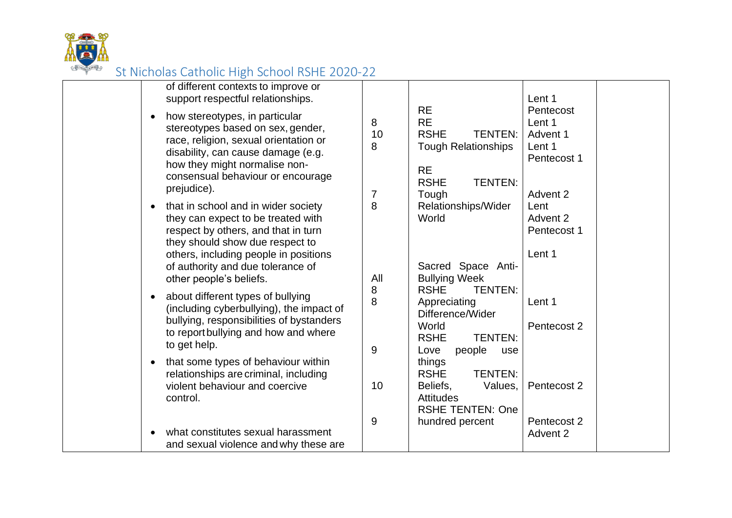

| of different contexts to improve or<br>support respectful relationships.                                                                                                                                                                |                                |                                                                                                                                              | Lent 1                                                               |
|-----------------------------------------------------------------------------------------------------------------------------------------------------------------------------------------------------------------------------------------|--------------------------------|----------------------------------------------------------------------------------------------------------------------------------------------|----------------------------------------------------------------------|
| how stereotypes, in particular<br>stereotypes based on sex, gender,<br>race, religion, sexual orientation or<br>disability, can cause damage (e.g.<br>how they might normalise non-<br>consensual behaviour or encourage<br>prejudice). | 8<br>10<br>8<br>$\overline{7}$ | <b>RE</b><br><b>RE</b><br><b>RSHE</b><br><b>TENTEN:</b><br><b>Tough Relationships</b><br><b>RE</b><br><b>RSHE</b><br><b>TENTEN:</b><br>Tough | Pentecost<br>Lent 1<br>Advent 1<br>Lent 1<br>Pentecost 1<br>Advent 2 |
| that in school and in wider society<br>they can expect to be treated with<br>respect by others, and that in turn<br>they should show due respect to<br>others, including people in positions                                            | 8                              | Relationships/Wider<br>World                                                                                                                 | Lent<br>Advent 2<br>Pentecost 1<br>Lent 1                            |
| of authority and due tolerance of<br>other people's beliefs.                                                                                                                                                                            | All                            | Sacred Space Anti-<br><b>Bullying Week</b>                                                                                                   |                                                                      |
| about different types of bullying<br>(including cyberbullying), the impact of<br>bullying, responsibilities of bystanders<br>to report bullying and how and where<br>to get help.                                                       | 8<br>8<br>9                    | <b>TENTEN:</b><br><b>RSHE</b><br>Appreciating<br>Difference/Wider<br>World<br><b>RSHE</b><br><b>TENTEN:</b><br>people<br>Love<br>use         | Lent 1<br>Pentecost 2                                                |
| that some types of behaviour within<br>relationships are criminal, including<br>violent behaviour and coercive<br>control.                                                                                                              | 10                             | things<br><b>RSHE</b><br><b>TENTEN:</b><br>Beliefs,<br>Values,<br><b>Attitudes</b><br><b>RSHE TENTEN: One</b>                                | Pentecost 2                                                          |
| what constitutes sexual harassment<br>and sexual violence and why these are                                                                                                                                                             | 9                              | hundred percent                                                                                                                              | Pentecost 2<br>Advent 2                                              |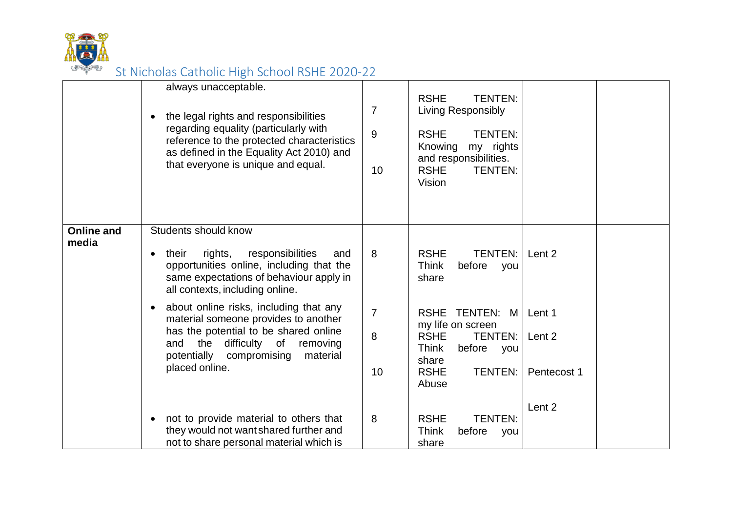

|                            | always unacceptable.<br>the legal rights and responsibilities<br>regarding equality (particularly with<br>reference to the protected characteristics<br>as defined in the Equality Act 2010) and<br>that everyone is unique and equal. | $\overline{7}$<br>$\overline{9}$<br>10   | <b>RSHE</b><br><b>TENTEN:</b><br>Living Responsibly<br><b>TENTEN:</b><br><b>RSHE</b><br>my rights<br>Knowing<br>and responsibilities.<br><b>RSHE</b><br><b>TENTEN:</b><br>Vision |                       |
|----------------------------|----------------------------------------------------------------------------------------------------------------------------------------------------------------------------------------------------------------------------------------|------------------------------------------|----------------------------------------------------------------------------------------------------------------------------------------------------------------------------------|-----------------------|
| <b>Online and</b><br>media | Students should know<br>rights,<br>responsibilities<br>their<br>and<br>opportunities online, including that the<br>same expectations of behaviour apply in<br>all contexts, including online.                                          | 8                                        | TENTEN: Lent 2<br><b>RSHE</b><br><b>Think</b><br>before<br>you<br>share                                                                                                          |                       |
|                            | about online risks, including that any<br>material someone provides to another<br>has the potential to be shared online<br>the difficulty of removing<br>and<br>potentially<br>compromising<br>material<br>placed online.              | $\overline{7}$<br>$\boldsymbol{8}$<br>10 | RSHE TENTEN: M   Lent 1<br>my life on screen<br><b>RSHE</b><br><b>TENTEN:</b><br><b>Think</b><br>before you<br>share<br><b>TENTEN:</b><br><b>RSHE</b><br>Abuse                   | Lent 2<br>Pentecost 1 |
|                            | not to provide material to others that<br>they would not want shared further and<br>not to share personal material which is                                                                                                            | 8                                        | <b>RSHE</b><br><b>TENTEN:</b><br><b>Think</b><br>before<br>you<br>share                                                                                                          | Lent 2                |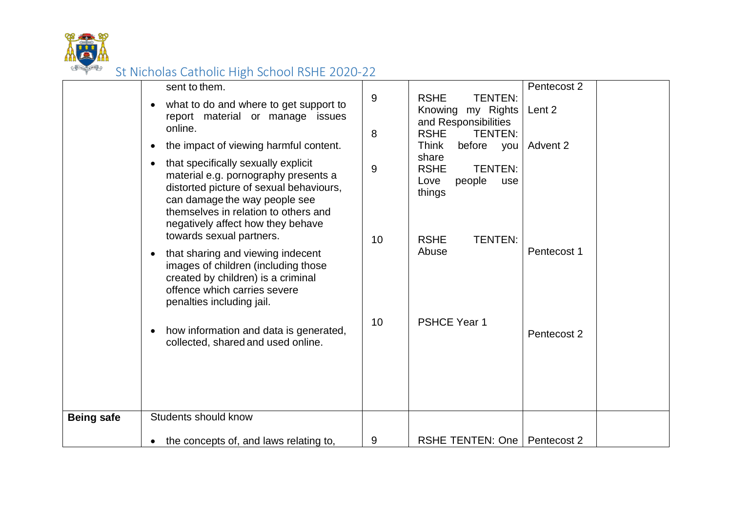

|                   | sent to them.<br>what to do and where to get support to                                                                                                                                                                                                                                                    | 9       | <b>RSHE</b><br><b>TENTEN:</b><br>Knowing<br>my Rights                                                                             | Pentecost 2<br>Lent 2 |
|-------------------|------------------------------------------------------------------------------------------------------------------------------------------------------------------------------------------------------------------------------------------------------------------------------------------------------------|---------|-----------------------------------------------------------------------------------------------------------------------------------|-----------------------|
|                   | report material or manage issues<br>online.                                                                                                                                                                                                                                                                | 8       | and Responsibilities<br><b>RSHE</b><br><b>TENTEN:</b>                                                                             |                       |
|                   | the impact of viewing harmful content.<br>that specifically sexually explicit<br>material e.g. pornography presents a<br>distorted picture of sexual behaviours,<br>can damage the way people see<br>themselves in relation to others and<br>negatively affect how they behave<br>towards sexual partners. | 9<br>10 | Think<br>before you<br>share<br><b>TENTEN:</b><br><b>RSHE</b><br>people<br>Love<br>use<br>things<br><b>RSHE</b><br><b>TENTEN:</b> | Advent 2              |
|                   | that sharing and viewing indecent<br>$\bullet$<br>images of children (including those<br>created by children) is a criminal<br>offence which carries severe<br>penalties including jail.                                                                                                                   |         | Abuse                                                                                                                             | Pentecost 1           |
|                   | how information and data is generated,<br>collected, shared and used online.                                                                                                                                                                                                                               | 10      | <b>PSHCE Year 1</b>                                                                                                               | Pentecost 2           |
| <b>Being safe</b> | <b>Students should know</b>                                                                                                                                                                                                                                                                                |         |                                                                                                                                   |                       |
|                   | the concepts of, and laws relating to,                                                                                                                                                                                                                                                                     | 9       | RSHE TENTEN: One   Pentecost 2                                                                                                    |                       |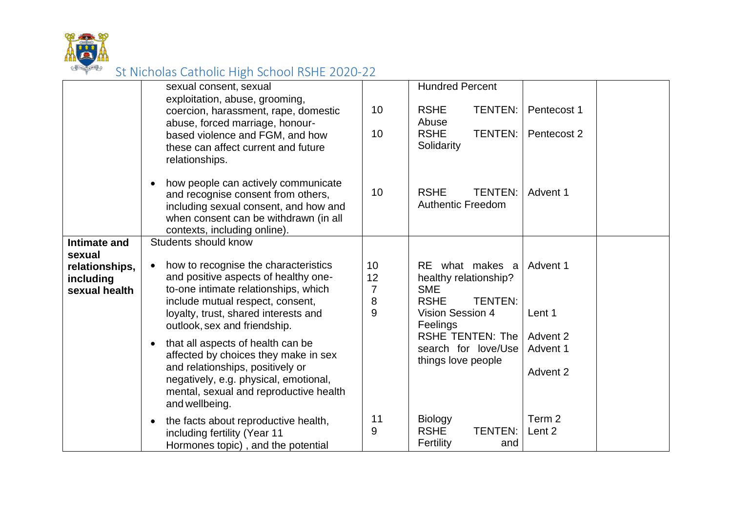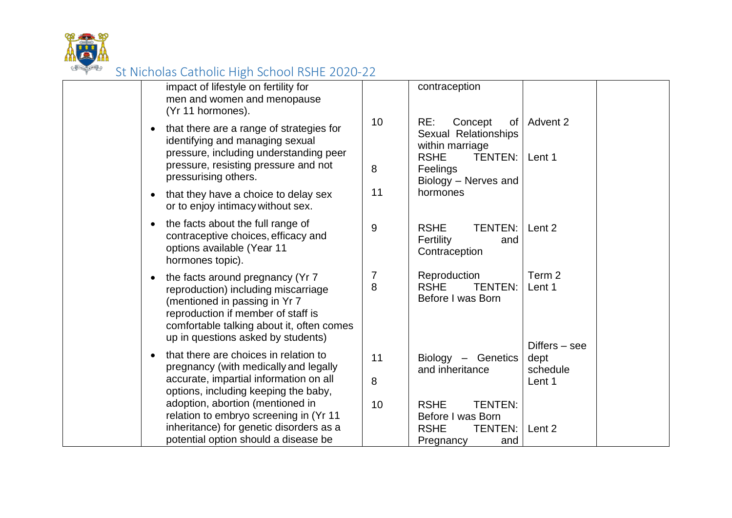

| impact of lifestyle on fertility for<br>men and women and menopause<br>(Yr 11 hormones).                                                                                                                                          |         | contraception                                                                                    |                                               |  |
|-----------------------------------------------------------------------------------------------------------------------------------------------------------------------------------------------------------------------------------|---------|--------------------------------------------------------------------------------------------------|-----------------------------------------------|--|
| that there are a range of strategies for<br>identifying and managing sexual<br>pressure, including understanding peer                                                                                                             | 10      | RE:<br>Concept<br>of <sub>l</sub><br>Sexual Relationships<br>within marriage                     | Advent 2                                      |  |
| pressure, resisting pressure and not<br>pressurising others.                                                                                                                                                                      | 8       | <b>RSHE</b><br>TENTEN:<br>Feelings<br>Biology - Nerves and                                       | Lent 1                                        |  |
| that they have a choice to delay sex<br>$\bullet$<br>or to enjoy intimacy without sex.                                                                                                                                            | 11      | hormones                                                                                         |                                               |  |
| the facts about the full range of<br>contraceptive choices, efficacy and<br>options available (Year 11<br>hormones topic).                                                                                                        | 9       | <b>RSHE</b><br><b>TENTEN:</b><br>Fertility<br>and<br>Contraception                               | Lent 2                                        |  |
| the facts around pregnancy (Yr 7<br>reproduction) including miscarriage<br>(mentioned in passing in Yr 7<br>reproduction if member of staff is<br>comfortable talking about it, often comes<br>up in questions asked by students) | 7<br>8  | Reproduction<br><b>TENTEN:</b><br><b>RSHE</b><br>Before I was Born                               | Term <sub>2</sub><br>Lent 1                   |  |
| that there are choices in relation to<br>pregnancy (with medically and legally<br>accurate, impartial information on all<br>options, including keeping the baby,                                                                  | 11<br>8 | Biology - Genetics<br>and inheritance                                                            | $Differs - see$<br>dept<br>schedule<br>Lent 1 |  |
| adoption, abortion (mentioned in<br>relation to embryo screening in (Yr 11<br>inheritance) for genetic disorders as a<br>potential option should a disease be                                                                     | 10      | <b>TENTEN:</b><br><b>RSHE</b><br>Before I was Born<br><b>RSHE</b><br>TENTEN:<br>Pregnancy<br>and | Lent 2                                        |  |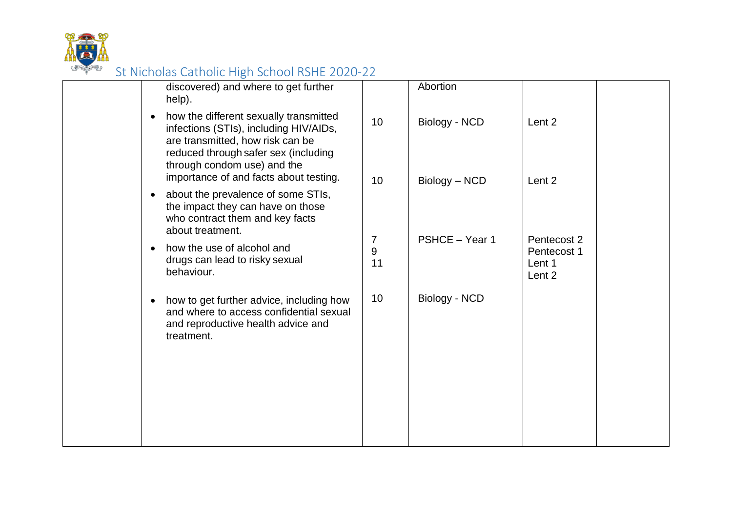

| discovered) and where to get further<br>Abortion<br>help).<br>how the different sexually transmitted<br>$\bullet$<br>10<br>Biology - NCD<br>Lent 2<br>infections (STIs), including HIV/AIDs,<br>are transmitted, how risk can be<br>reduced through safer sex (including<br>through condom use) and the<br>importance of and facts about testing.<br>10<br>Biology - NCD<br>Lent 2<br>about the prevalence of some STIs,<br>$\bullet$<br>the impact they can have on those<br>who contract them and key facts<br>about treatment.<br>PSHCE - Year 1<br>Pentecost 2<br>$\overline{7}$<br>how the use of alcohol and<br>$\bullet$<br>9<br>Pentecost 1<br>drugs can lead to risky sexual<br>11<br>Lent 1<br>behaviour.<br>Lent 2<br>10<br>Biology - NCD<br>how to get further advice, including how<br>$\bullet$<br>and where to access confidential sexual<br>and reproductive health advice and<br>treatment. |  |  |  |
|--------------------------------------------------------------------------------------------------------------------------------------------------------------------------------------------------------------------------------------------------------------------------------------------------------------------------------------------------------------------------------------------------------------------------------------------------------------------------------------------------------------------------------------------------------------------------------------------------------------------------------------------------------------------------------------------------------------------------------------------------------------------------------------------------------------------------------------------------------------------------------------------------------------|--|--|--|
|                                                                                                                                                                                                                                                                                                                                                                                                                                                                                                                                                                                                                                                                                                                                                                                                                                                                                                              |  |  |  |
|                                                                                                                                                                                                                                                                                                                                                                                                                                                                                                                                                                                                                                                                                                                                                                                                                                                                                                              |  |  |  |
|                                                                                                                                                                                                                                                                                                                                                                                                                                                                                                                                                                                                                                                                                                                                                                                                                                                                                                              |  |  |  |
|                                                                                                                                                                                                                                                                                                                                                                                                                                                                                                                                                                                                                                                                                                                                                                                                                                                                                                              |  |  |  |
|                                                                                                                                                                                                                                                                                                                                                                                                                                                                                                                                                                                                                                                                                                                                                                                                                                                                                                              |  |  |  |
|                                                                                                                                                                                                                                                                                                                                                                                                                                                                                                                                                                                                                                                                                                                                                                                                                                                                                                              |  |  |  |
|                                                                                                                                                                                                                                                                                                                                                                                                                                                                                                                                                                                                                                                                                                                                                                                                                                                                                                              |  |  |  |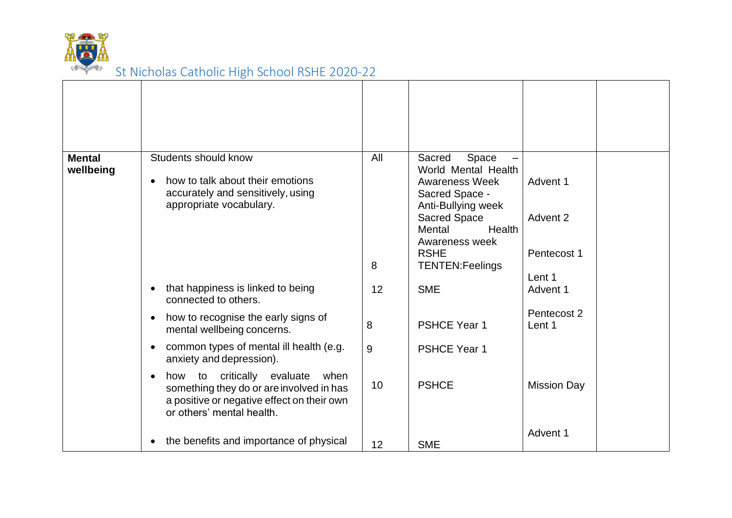

| <b>Mental</b><br>wellbeing | Students should know<br>how to talk about their emotions<br>accurately and sensitively, using<br>appropriate vocabulary.                                  | All<br>8 | Space<br>Sacred<br>World Mental Health<br><b>Awareness Week</b><br>Sacred Space -<br>Anti-Bullying week<br><b>Sacred Space</b><br>Mental<br>Health<br>Awareness week<br><b>RSHE</b><br><b>TENTEN:Feelings</b> | Advent 1<br>Advent 2<br>Pentecost 1<br>Lent 1 |  |
|----------------------------|-----------------------------------------------------------------------------------------------------------------------------------------------------------|----------|---------------------------------------------------------------------------------------------------------------------------------------------------------------------------------------------------------------|-----------------------------------------------|--|
|                            | that happiness is linked to being<br>connected to others.                                                                                                 | 12       | <b>SME</b>                                                                                                                                                                                                    | Advent 1                                      |  |
|                            | how to recognise the early signs of<br>mental wellbeing concerns.                                                                                         | 8        | <b>PSHCE Year 1</b>                                                                                                                                                                                           | Pentecost 2<br>Lent 1                         |  |
|                            | common types of mental ill health (e.g.<br>anxiety and depression).                                                                                       | 9        | <b>PSHCE Year 1</b>                                                                                                                                                                                           |                                               |  |
|                            | how to critically evaluate<br>when<br>something they do or are involved in has<br>a positive or negative effect on their own<br>or others' mental health. | 10       | <b>PSHCE</b>                                                                                                                                                                                                  | <b>Mission Day</b>                            |  |
|                            | the benefits and importance of physical                                                                                                                   | 12       | <b>SME</b>                                                                                                                                                                                                    | Advent 1                                      |  |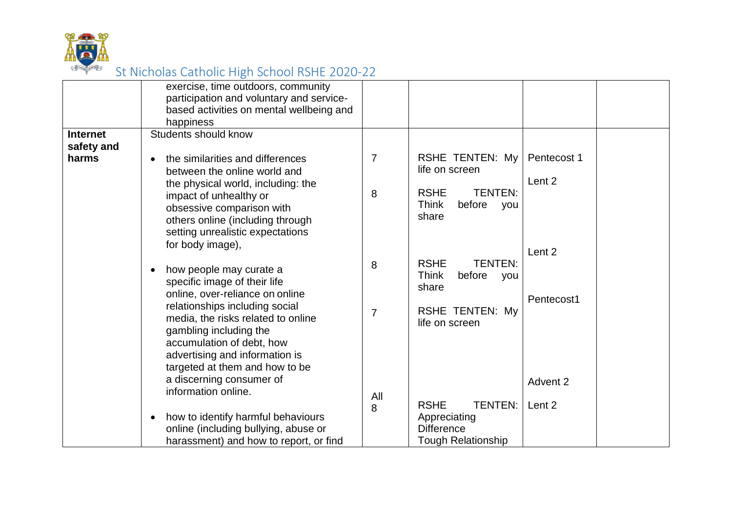

| <b>Internet</b><br>safety and | exercise, time outdoors, community<br>participation and voluntary and service-<br>based activities on mental wellbeing and<br>happiness<br>Students should know                                                                                             |                     |                                                                                                                     |                       |  |
|-------------------------------|-------------------------------------------------------------------------------------------------------------------------------------------------------------------------------------------------------------------------------------------------------------|---------------------|---------------------------------------------------------------------------------------------------------------------|-----------------------|--|
| harms                         | the similarities and differences<br>between the online world and<br>the physical world, including: the<br>impact of unhealthy or<br>obsessive comparison with<br>others online (including through<br>setting unrealistic expectations<br>for body image),   | $\overline{7}$<br>8 | RSHE TENTEN: My<br>life on screen<br><b>RSHE</b><br><b>TENTEN:</b><br><b>Think</b><br>before<br>you<br>share        | Pentecost 1<br>Lent 2 |  |
|                               | how people may curate a<br>specific image of their life<br>online, over-reliance on online<br>relationships including social<br>media, the risks related to online<br>gambling including the<br>accumulation of debt, how<br>advertising and information is | 8<br>$\overline{7}$ | <b>TENTEN:</b><br><b>RSHE</b><br><b>Think</b><br>before<br>you<br>share<br><b>RSHE TENTEN: My</b><br>life on screen | Lent 2<br>Pentecost1  |  |
|                               | targeted at them and how to be<br>a discerning consumer of<br>information online.<br>how to identify harmful behaviours<br>online (including bullying, abuse or<br>harassment) and how to report, or find                                                   | All<br>8            | <b>RSHE</b><br><b>TENTEN:</b><br>Appreciating<br><b>Difference</b><br><b>Tough Relationship</b>                     | Advent 2<br>Lent 2    |  |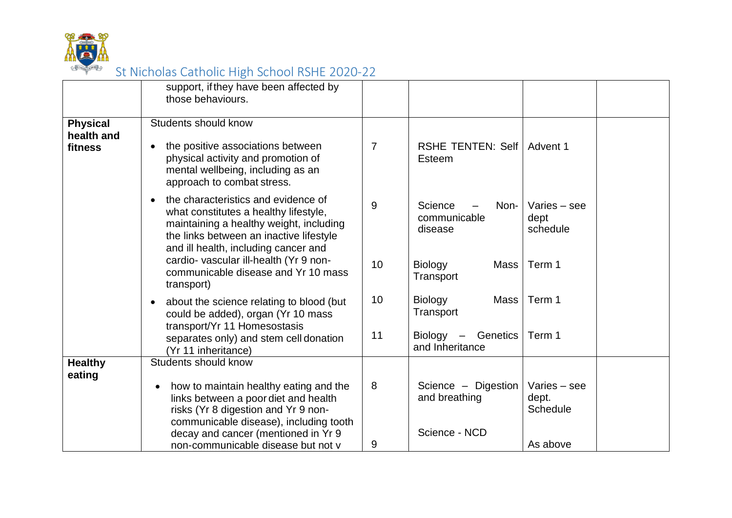

|                               | support, if they have been affected by<br>those behaviours.                                                                                                                                                             |                |                                            |                                          |
|-------------------------------|-------------------------------------------------------------------------------------------------------------------------------------------------------------------------------------------------------------------------|----------------|--------------------------------------------|------------------------------------------|
| <b>Physical</b><br>health and | Students should know                                                                                                                                                                                                    |                |                                            |                                          |
| fitness                       | the positive associations between<br>$\bullet$<br>physical activity and promotion of<br>mental wellbeing, including as an<br>approach to combat stress.                                                                 | $\overline{7}$ | RSHE TENTEN: Self   Advent 1<br>Esteem     |                                          |
|                               | the characteristics and evidence of<br>$\bullet$<br>what constitutes a healthy lifestyle,<br>maintaining a healthy weight, including<br>the links between an inactive lifestyle<br>and ill health, including cancer and | 9              | Science<br>Non-<br>communicable<br>disease | Varies - see<br>dept<br>schedule         |
|                               | cardio- vascular ill-health (Yr 9 non-<br>communicable disease and Yr 10 mass<br>transport)                                                                                                                             | 10             | Biology<br>Mass<br>Transport               | Term 1                                   |
|                               | about the science relating to blood (but<br>$\bullet$<br>could be added), organ (Yr 10 mass<br>transport/Yr 11 Homesostasis                                                                                             | 10             | <b>Biology</b><br>Mass<br>Transport        | Term 1                                   |
|                               | separates only) and stem cell donation<br>(Yr 11 inheritance)                                                                                                                                                           | 11             | Biology -<br>Genetics<br>and Inheritance   | Term 1                                   |
| <b>Healthy</b><br>eating      | Students should know                                                                                                                                                                                                    |                |                                            |                                          |
|                               | how to maintain healthy eating and the<br>$\bullet$<br>links between a poor diet and health<br>risks (Yr 8 digestion and Yr 9 non-<br>communicable disease), including tooth                                            | 8              | Science - Digestion<br>and breathing       | Varies - see<br>dept.<br><b>Schedule</b> |
|                               | decay and cancer (mentioned in Yr 9<br>non-communicable disease but not v                                                                                                                                               | 9              | Science - NCD                              | As above                                 |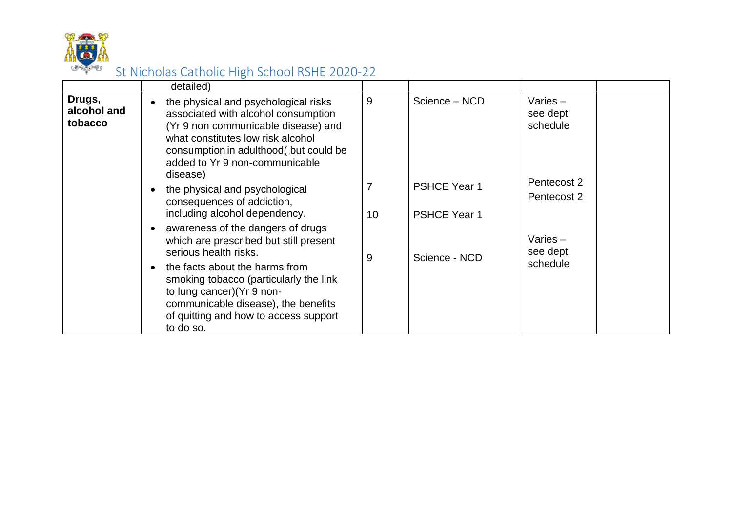

|                                  | detailed)                                                                                                                                                                                                                                                                                                   |    |                                            |                                    |
|----------------------------------|-------------------------------------------------------------------------------------------------------------------------------------------------------------------------------------------------------------------------------------------------------------------------------------------------------------|----|--------------------------------------------|------------------------------------|
| Drugs,<br>alcohol and<br>tobacco | the physical and psychological risks<br>associated with alcohol consumption<br>(Yr 9 non communicable disease) and<br>what constitutes low risk alcohol<br>consumption in adulthood( but could be<br>added to Yr 9 non-communicable<br>disease)                                                             | 9  | Science - NCD                              | Varies $-$<br>see dept<br>schedule |
|                                  | the physical and psychological<br>consequences of addiction,<br>including alcohol dependency.                                                                                                                                                                                                               | 10 | <b>PSHCE Year 1</b><br><b>PSHCE Year 1</b> | Pentecost 2<br>Pentecost 2         |
|                                  | awareness of the dangers of drugs<br>which are prescribed but still present<br>serious health risks.<br>the facts about the harms from<br>smoking tobacco (particularly the link<br>to lung cancer) (Yr 9 non-<br>communicable disease), the benefits<br>of quitting and how to access support<br>to do so. | 9  | Science - NCD                              | Varies $-$<br>see dept<br>schedule |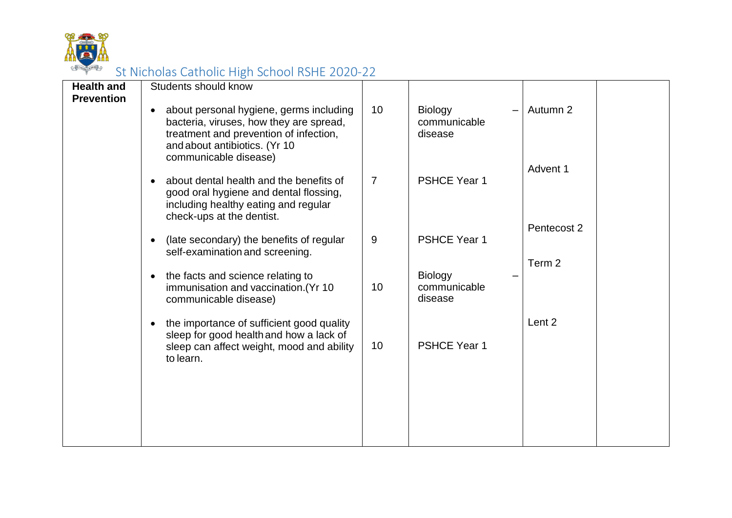

| <b>Health and</b> | Students should know                                                                                                                                                                                |                |                                           |                      |  |
|-------------------|-----------------------------------------------------------------------------------------------------------------------------------------------------------------------------------------------------|----------------|-------------------------------------------|----------------------|--|
| <b>Prevention</b> |                                                                                                                                                                                                     |                |                                           |                      |  |
|                   | about personal hygiene, germs including<br>$\bullet$<br>bacteria, viruses, how they are spread,<br>treatment and prevention of infection,<br>and about antibiotics. (Yr 10<br>communicable disease) | 10             | <b>Biology</b><br>communicable<br>disease | Autumn 2<br>Advent 1 |  |
|                   | about dental health and the benefits of<br>good oral hygiene and dental flossing,<br>including healthy eating and regular<br>check-ups at the dentist.                                              | $\overline{7}$ | <b>PSHCE Year 1</b>                       | Pentecost 2          |  |
|                   | (late secondary) the benefits of regular<br>self-examination and screening.                                                                                                                         | $9\,$          | <b>PSHCE Year 1</b>                       |                      |  |
|                   | the facts and science relating to<br>immunisation and vaccination. (Yr 10<br>communicable disease)                                                                                                  | 10             | <b>Biology</b><br>communicable<br>disease | Term 2               |  |
|                   | the importance of sufficient good quality<br>sleep for good health and how a lack of<br>sleep can affect weight, mood and ability<br>to learn.                                                      | 10             | <b>PSHCE Year 1</b>                       | Lent 2               |  |
|                   |                                                                                                                                                                                                     |                |                                           |                      |  |